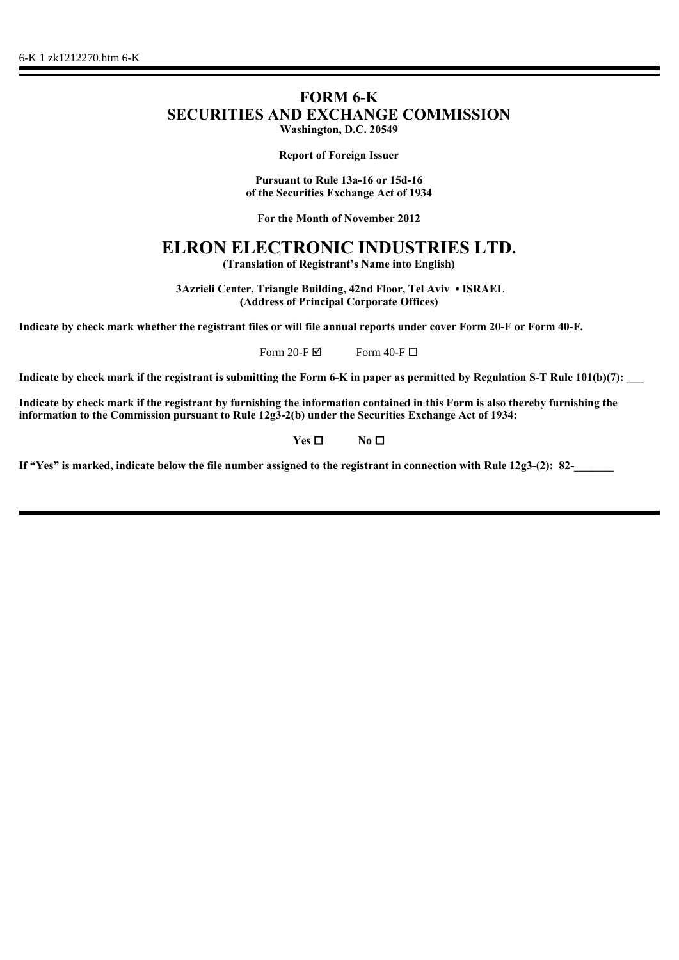# **FORM 6-K SECURITIES AND EXCHANGE COMMISSION Washington, D.C. 20549**

**Report of Foreign Issuer**

**Pursuant to Rule 13a-16 or 15d-16 of the Securities Exchange Act of 1934**

**For the Month of November 2012**

# **ELRON ELECTRONIC INDUSTRIES LTD.**

**(Translation of Registrant's Name into English)**

 **3Azrieli Center, Triangle Building, 42nd Floor, Tel Aviv • ISRAEL (Address of Principal Corporate Offices)**

**Indicate by check mark whether the registrant files or will file annual reports under cover Form 20-F or Form 40-F.**

Form 20-F $\boxtimes$  Form 40-F $\Box$ 

Indicate by check mark if the registrant is submitting the Form 6-K in paper as permitted by Regulation S-T Rule 101(b)(7):

**Indicate by check mark if the registrant by furnishing the information contained in this Form is also thereby furnishing the information to the Commission pursuant to Rule 12g3-2(b) under the Securities Exchange Act of 1934:**

**Yes □** No **□** 

If "Yes" is marked, indicate below the file number assigned to the registrant in connection with Rule 12g3-(2): 82-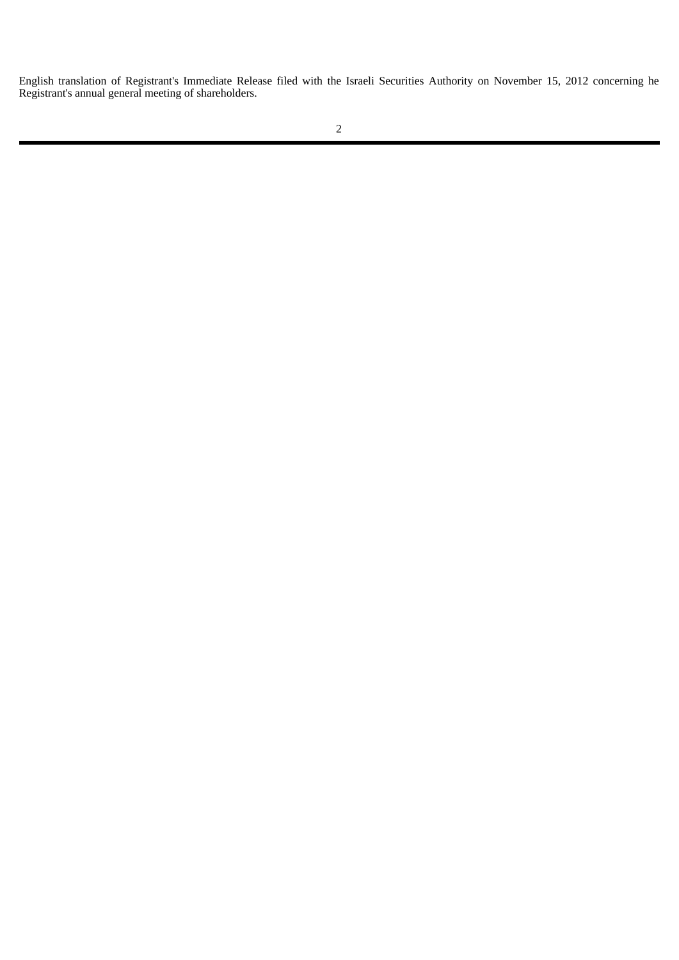English translation of Registrant's Immediate Release filed with the Israeli Securities Authority on November 15, 2012 concerning he Registrant's annual general meeting of shareholders.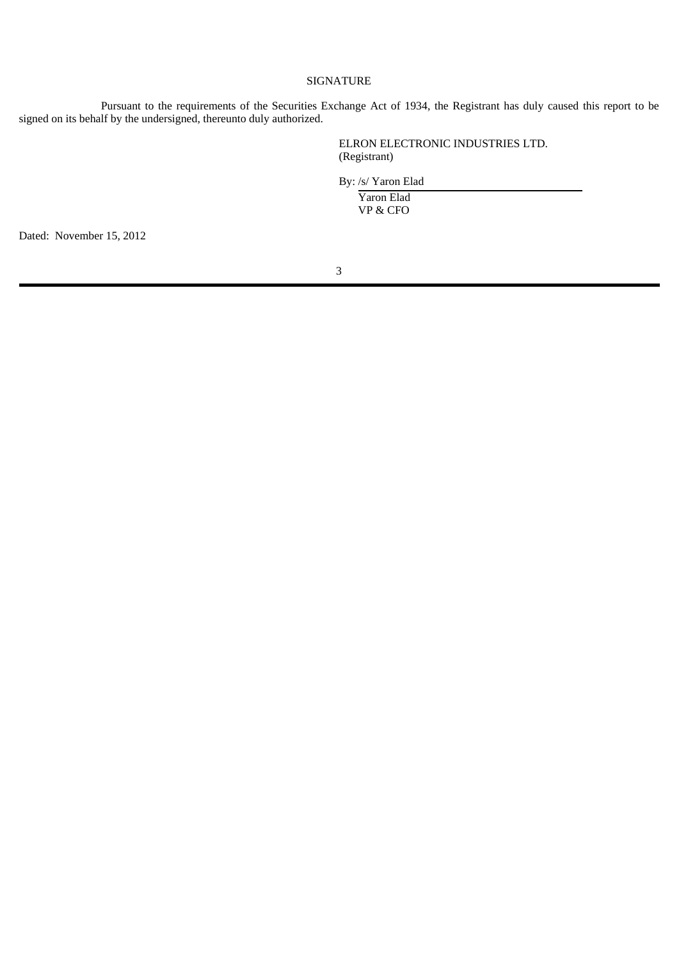### SIGNATURE

Pursuant to the requirements of the Securities Exchange Act of 1934, the Registrant has duly caused this report to be signed on its behalf by the undersigned, thereunto duly authorized.

> ELRON ELECTRONIC INDUSTRIES LTD. (Registrant)

By: /s/ Yaron Elad

 Yaron Elad VP & CFO

Dated: November 15, 2012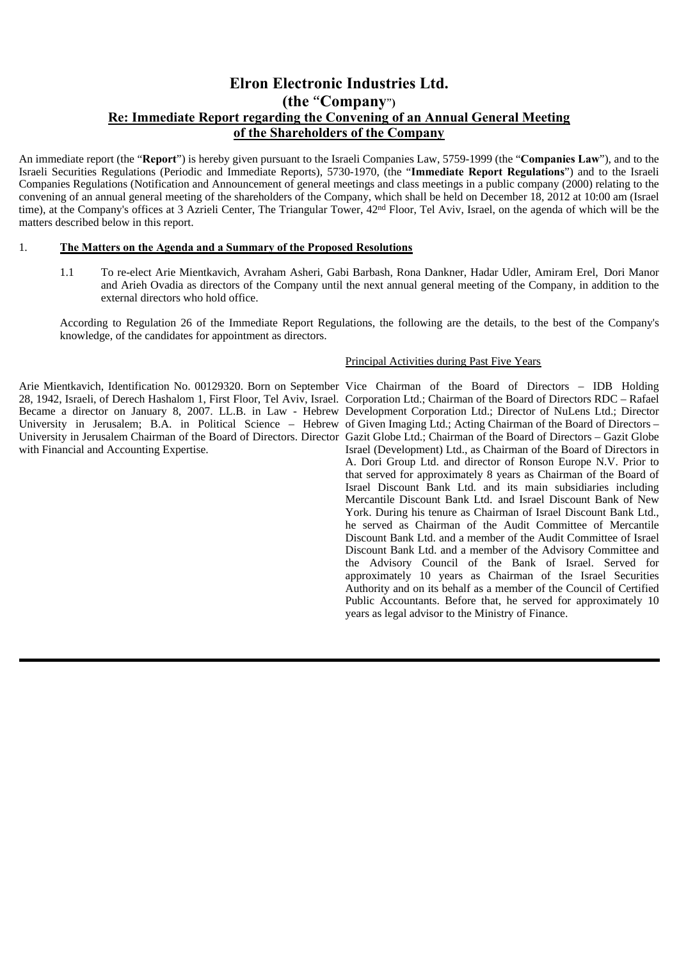## **Elron Electronic Industries Ltd. (the** "**Company**"**) Re: Immediate Report regarding the Convening of an Annual General Meeting of the Shareholders of the Company**

An immediate report (the "**Report**") is hereby given pursuant to the Israeli Companies Law, 5759-1999 (the "**Companies Law**"), and to the Israeli Securities Regulations (Periodic and Immediate Reports), 5730-1970, (the "**Immediate Report Regulations**") and to the Israeli Companies Regulations (Notification and Announcement of general meetings and class meetings in a public company (2000) relating to the convening of an annual general meeting of the shareholders of the Company, which shall be held on December 18, 2012 at 10:00 am (Israel time), at the Company's offices at 3 Azrieli Center, The Triangular Tower, 42nd Floor, Tel Aviv, Israel, on the agenda of which will be the matters described below in this report.

#### 1. **The Matters on the Agenda and a Summary of the Proposed Resolutions**

 1.1 To re-elect Arie Mientkavich, Avraham Asheri, Gabi Barbash, Rona Dankner, Hadar Udler, Amiram Erel, Dori Manor and Arieh Ovadia as directors of the Company until the next annual general meeting of the Company, in addition to the external directors who hold office.

According to Regulation 26 of the Immediate Report Regulations, the following are the details, to the best of the Company's knowledge, of the candidates for appointment as directors.

#### Principal Activities during Past Five Years

Arie Mientkavich, Identification No. 00129320. Born on September Vice Chairman of the Board of Directors – IDB Holding Became a director on January 8, 2007. LL.B. in Law - Hebrew Development Corporation Ltd.; Director of NuLens Ltd.; Director University in Jerusalem; B.A. in Political Science – Hebrew of Given Imaging Ltd.; Acting Chairman of the Board of Directors – with Financial and Accounting Expertise.

28, 1942, Israeli, of Derech Hashalom 1, First Floor, Tel Aviv, Israel. Corporation Ltd.; Chairman of the Board of Directors RDC – Rafael University in Jerusalem Chairman of the Board of Directors. Director Gazit Globe Ltd.; Chairman of the Board of Directors - Gazit Globe Israel (Development) Ltd., as Chairman of the Board of Directors in A. Dori Group Ltd. and director of Ronson Europe N.V. Prior to that served for approximately 8 years as Chairman of the Board of Israel Discount Bank Ltd. and its main subsidiaries including Mercantile Discount Bank Ltd. and Israel Discount Bank of New York. During his tenure as Chairman of Israel Discount Bank Ltd., he served as Chairman of the Audit Committee of Mercantile Discount Bank Ltd. and a member of the Audit Committee of Israel Discount Bank Ltd. and a member of the Advisory Committee and the Advisory Council of the Bank of Israel. Served for approximately 10 years as Chairman of the Israel Securities Authority and on its behalf as a member of the Council of Certified Public Accountants. Before that, he served for approximately 10 years as legal advisor to the Ministry of Finance.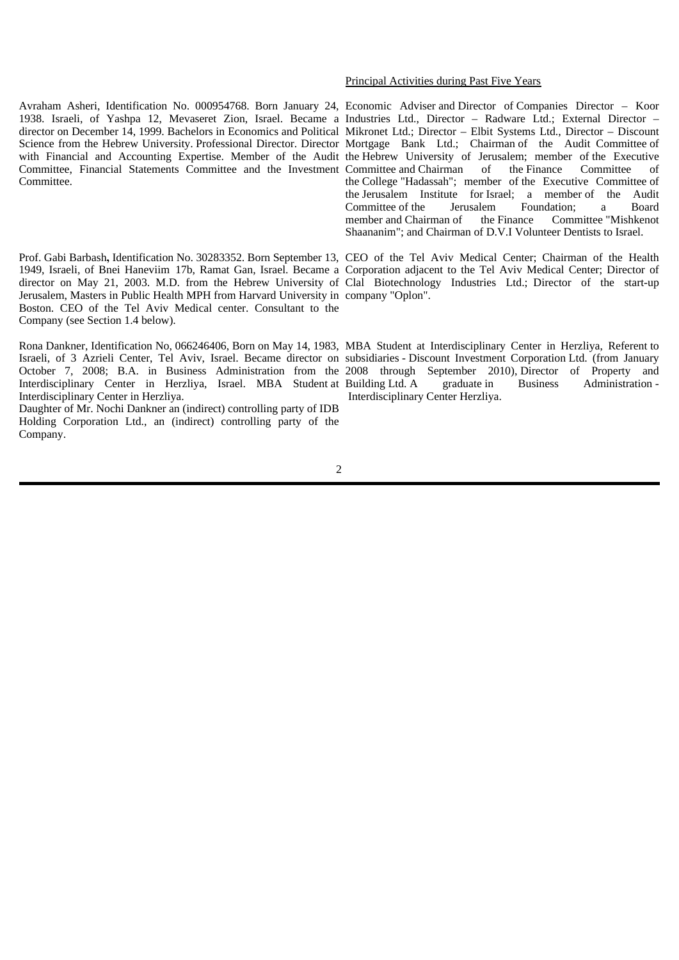Avraham Asheri, Identification No. 000954768. Born January 24, Economic Adviser and Director of Companies Director – Koor 1938. Israeli, of Yashpa 12, Mevaseret Zion, Israel. Became a Industries Ltd., Director – Radware Ltd.; External Director – director on December 14, 1999. Bachelors in Economics and Political Mikronet Ltd.; Director – Elbit Systems Ltd., Director – Discount Science from the Hebrew University. Professional Director. Director Mortgage Bank Ltd.; Chairman of the Audit Committee of with Financial and Accounting Expertise. Member of the Audit the Hebrew University of Jerusalem; member of the Executive Committee, Financial Statements Committee and the Investment Committee and Chairman of the Finance Committee of **Committee** 

Prof. Gabi Barbash**,** Identification No. 30283352. Born September 13, CEO of the Tel Aviv Medical Center; Chairman of the Health 1949, Israeli, of Bnei Haneviim 17b, Ramat Gan, Israel. Became a Corporation adjacent to the Tel Aviv Medical Center; Director of director on May 21, 2003. M.D. from the Hebrew University of Clal Biotechnology Industries Ltd.; Director of the start-up Jerusalem, Masters in Public Health MPH from Harvard University in company "Oplon". Boston. CEO of the Tel Aviv Medical center. Consultant to the Company (see Section 1.4 below).

Rona Dankner, Identification No, 066246406, Born on May 14, 1983, MBA Student at Interdisciplinary Center in Herzliya, Referent to Israeli, of 3 Azrieli Center, Tel Aviv, Israel. Became director on subsidiaries - Discount Investment Corporation Ltd. (from January October 7, 2008; B.A. in Business Administration from the 2008 through September 2010), Director of Property and Interdisciplinary Center in Herzliya, Israel. MBA Student at Building Ltd. A graduate in Business Administration Interdisciplinary Center in Herzliya.

Daughter of Mr. Nochi Dankner an (indirect) controlling party of IDB Holding Corporation Ltd., an (indirect) controlling party of the Company.

#### Principal Activities during Past Five Years

the College "Hadassah"; member of the Executive Committee of the Jerusalem Institute for Israel; a member of the Audit Committee of the Jerusalem Foundation; a Board<br>member and Chairman of the Finance Committee "Mishkenot" member and Chairman of Shaananim"; and Chairman of D.V.I Volunteer Dentists to Israel.

Interdisciplinary Center Herzliya.

#### 2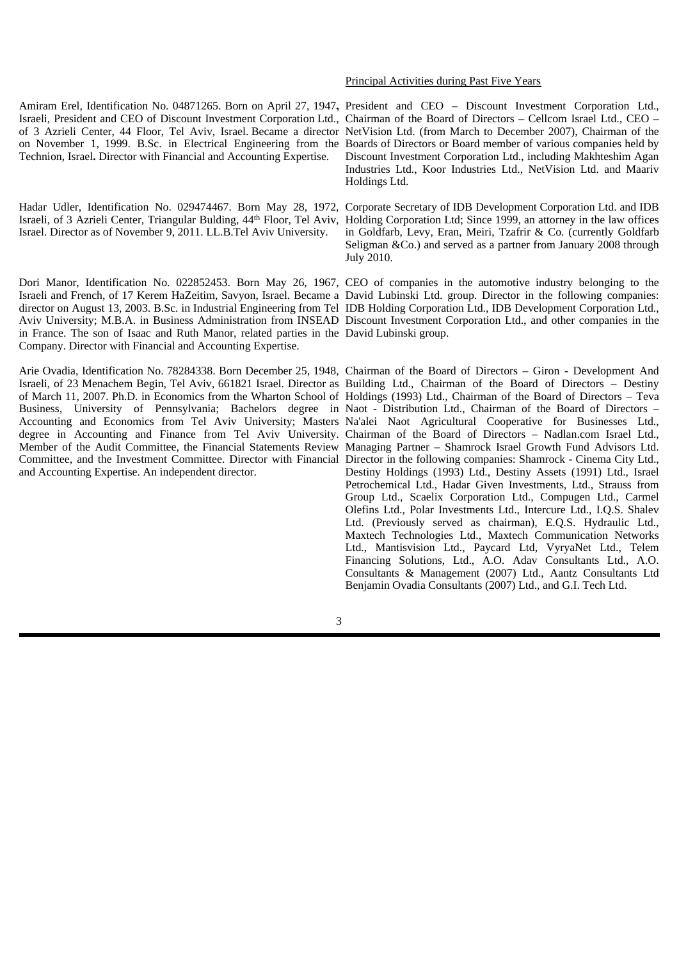Amiram Erel, Identification No. 04871265. Born on April 27, 1947**,** President and CEO – Discount Investment Corporation Ltd., Israeli, President and CEO of Discount Investment Corporation Ltd., Chairman of the Board of Directors - Cellcom Israel Ltd., CEO of 3 Azrieli Center, 44 Floor, Tel Aviv, Israel. Became a director NetVision Ltd. (from March to December 2007), Chairman of the on November 1, 1999. B.Sc. in Electrical Engineering from the Boards of Directors or Board member of various companies held by Technion, Israel**.** Director with Financial and Accounting Expertise.

Israeli, of 3 Azrieli Center, Triangular Bulding, 44<sup>th</sup> Floor, Tel Aviv, Holding Corporation Ltd; Since 1999, an attorney in the law offices Israel. Director as of November 9, 2011. LL.B.Tel Aviv University.

Dori Manor, Identification No. 022852453. Born May 26, 1967, CEO of companies in the automotive industry belonging to the Israeli and French, of 17 Kerem HaZeitim, Savyon, Israel. Became a David Lubinski Ltd. group. Director in the following companies: director on August 13, 2003. B.Sc. in Industrial Engineering from Tel IDB Holding Corporation Ltd., IDB Development Corporation Ltd., Aviv University; M.B.A. in Business Administration from INSEAD Discount Investment Corporation Ltd., and other companies in the in France. The son of Isaac and Ruth Manor, related parties in the David Lubinski group. Company. Director with Financial and Accounting Expertise.

Arie Ovadia, Identification No. 78284338. Born December 25, 1948, Chairman of the Board of Directors – Giron - Development And Israeli, of 23 Menachem Begin, Tel Aviv, 661821 Israel. Director as Building Ltd., Chairman of the Board of Directors – Destiny of March 11, 2007. Ph.D. in Economics from the Wharton School of Holdings (1993) Ltd., Chairman of the Board of Directors – Teva Business, University of Pennsylvania; Bachelors degree in Naot - Distribution Ltd., Chairman of the Board of Directors – Accounting and Economics from Tel Aviv University; Masters degree in Accounting and Finance from Tel Aviv University. Member of the Audit Committee, the Financial Statements Review Managing Partner – Shamrock Israel Growth Fund Advisors Ltd. Committee, and the Investment Committee. Director with Financial Director in the following companies: Shamrock - Cinema City Ltd., and Accounting Expertise. An independent director.

#### Principal Activities during Past Five Years

Discount Investment Corporation Ltd., including Makhteshim Agan Industries Ltd., Koor Industries Ltd., NetVision Ltd. and Maariv Holdings Ltd.

Hadar Udler, Identification No. 029474467. Born May 28, 1972, Corporate Secretary of IDB Development Corporation Ltd. and IDB in Goldfarb, Levy, Eran, Meiri, Tzafrir & Co. (currently Goldfarb Seligman &Co.) and served as a partner from January 2008 through July 2010.

Na'alei Naot Agricultural Cooperative for Businesses Ltd., Chairman of the Board of Directors – Nadlan.com Israel Ltd., Destiny Holdings (1993) Ltd., Destiny Assets (1991) Ltd., Israel Petrochemical Ltd., Hadar Given Investments, Ltd., Strauss from Group Ltd., Scaelix Corporation Ltd., Compugen Ltd., Carmel Olefins Ltd., Polar Investments Ltd., Intercure Ltd., I.Q.S. Shalev Ltd. (Previously served as chairman), E.Q.S. Hydraulic Ltd., Maxtech Technologies Ltd., Maxtech Communication Networks Ltd., Mantisvision Ltd., Paycard Ltd, VyryaNet Ltd., Telem Financing Solutions, Ltd., A.O. Adav Consultants Ltd., A.O. Consultants & Management (2007) Ltd., Aantz Consultants Ltd Benjamin Ovadia Consultants (2007) Ltd., and G.I. Tech Ltd.

3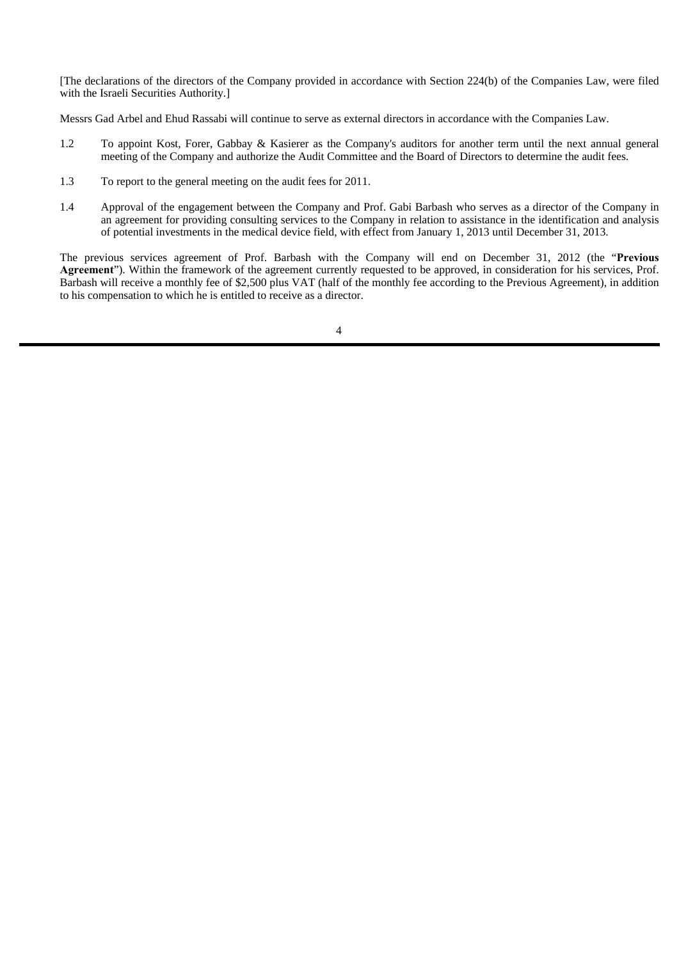[The declarations of the directors of the Company provided in accordance with Section 224(b) of the Companies Law, were filed with the Israeli Securities Authority.]

Messrs Gad Arbel and Ehud Rassabi will continue to serve as external directors in accordance with the Companies Law.

- 1.2 To appoint Kost, Forer, Gabbay & Kasierer as the Company's auditors for another term until the next annual general meeting of the Company and authorize the Audit Committee and the Board of Directors to determine the audit fees.
- 1.3 To report to the general meeting on the audit fees for 2011.
- 1.4 Approval of the engagement between the Company and Prof. Gabi Barbash who serves as a director of the Company in an agreement for providing consulting services to the Company in relation to assistance in the identification and analysis of potential investments in the medical device field, with effect from January 1, 2013 until December 31, 2013.

The previous services agreement of Prof. Barbash with the Company will end on December 31, 2012 (the "**Previous Agreement**"). Within the framework of the agreement currently requested to be approved, in consideration for his services, Prof. Barbash will receive a monthly fee of \$2,500 plus VAT (half of the monthly fee according to the Previous Agreement), in addition to his compensation to which he is entitled to receive as a director.

4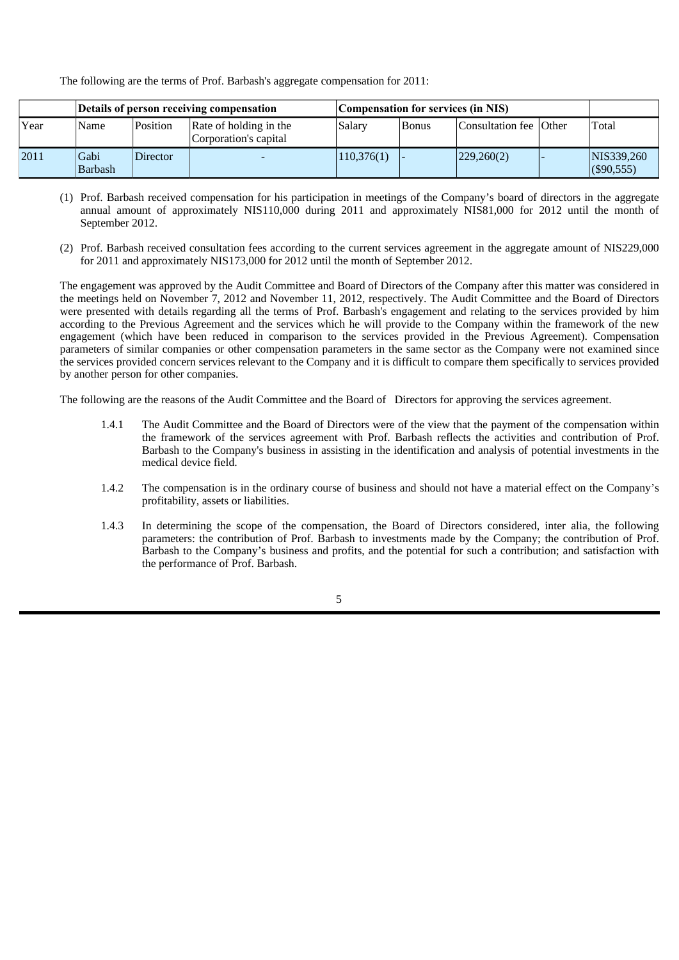The following are the terms of Prof. Barbash's aggregate compensation for 2011:

|      | Details of person receiving compensation |          |                                                 | Compensation for services (in NIS) |               |                        |  |                             |
|------|------------------------------------------|----------|-------------------------------------------------|------------------------------------|---------------|------------------------|--|-----------------------------|
| Year | Name                                     | Position | Rate of holding in the<br>Corporation's capital | Salary                             | <b>B</b> onus | Consultation fee Other |  | Total                       |
| 2011 | Gabi<br><b>Barbash</b>                   | Director |                                                 | 110,376(1)                         |               | 229,260(2)             |  | NIS339,260<br>$($ \$90,555) |

- (1) Prof. Barbash received compensation for his participation in meetings of the Company's board of directors in the aggregate annual amount of approximately NIS110,000 during 2011 and approximately NIS81,000 for 2012 until the month of September 2012.
- (2) Prof. Barbash received consultation fees according to the current services agreement in the aggregate amount of NIS229,000 for 2011 and approximately NIS173,000 for 2012 until the month of September 2012.

The engagement was approved by the Audit Committee and Board of Directors of the Company after this matter was considered in the meetings held on November 7, 2012 and November 11, 2012, respectively. The Audit Committee and the Board of Directors were presented with details regarding all the terms of Prof. Barbash's engagement and relating to the services provided by him according to the Previous Agreement and the services which he will provide to the Company within the framework of the new engagement (which have been reduced in comparison to the services provided in the Previous Agreement). Compensation parameters of similar companies or other compensation parameters in the same sector as the Company were not examined since the services provided concern services relevant to the Company and it is difficult to compare them specifically to services provided by another person for other companies.

The following are the reasons of the Audit Committee and the Board of Directors for approving the services agreement.

- 1.4.1 The Audit Committee and the Board of Directors were of the view that the payment of the compensation within the framework of the services agreement with Prof. Barbash reflects the activities and contribution of Prof. Barbash to the Company's business in assisting in the identification and analysis of potential investments in the medical device field.
- 1.4.2 The compensation is in the ordinary course of business and should not have a material effect on the Company's profitability, assets or liabilities.
- 1.4.3 In determining the scope of the compensation, the Board of Directors considered, inter alia, the following parameters: the contribution of Prof. Barbash to investments made by the Company; the contribution of Prof. Barbash to the Company's business and profits, and the potential for such a contribution; and satisfaction with the performance of Prof. Barbash.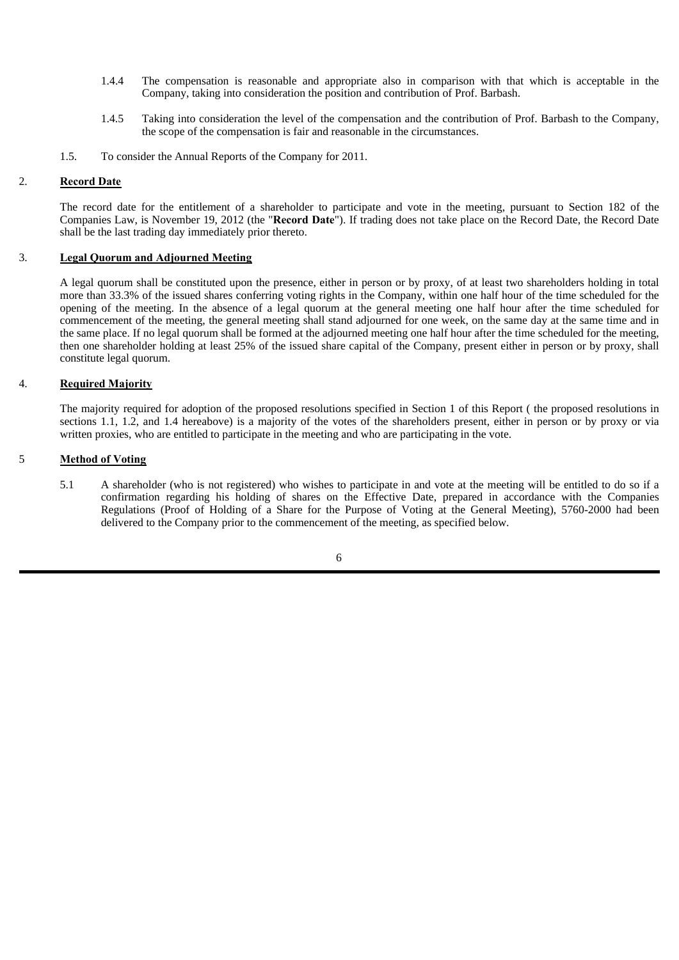- 1.4.4 The compensation is reasonable and appropriate also in comparison with that which is acceptable in the Company, taking into consideration the position and contribution of Prof. Barbash.
- 1.4.5 Taking into consideration the level of the compensation and the contribution of Prof. Barbash to the Company, the scope of the compensation is fair and reasonable in the circumstances.
- 1.5. To consider the Annual Reports of the Company for 2011.

#### 2. **Record Date**

The record date for the entitlement of a shareholder to participate and vote in the meeting, pursuant to Section 182 of the Companies Law, is November 19, 2012 (the "**Record Date**"). If trading does not take place on the Record Date, the Record Date shall be the last trading day immediately prior thereto.

#### 3. **Legal Quorum and Adjourned Meeting**

A legal quorum shall be constituted upon the presence, either in person or by proxy, of at least two shareholders holding in total more than 33.3% of the issued shares conferring voting rights in the Company, within one half hour of the time scheduled for the opening of the meeting. In the absence of a legal quorum at the general meeting one half hour after the time scheduled for commencement of the meeting, the general meeting shall stand adjourned for one week, on the same day at the same time and in the same place. If no legal quorum shall be formed at the adjourned meeting one half hour after the time scheduled for the meeting, then one shareholder holding at least 25% of the issued share capital of the Company, present either in person or by proxy, shall constitute legal quorum.

#### 4. **Required Majority**

The majority required for adoption of the proposed resolutions specified in Section 1 of this Report ( the proposed resolutions in sections 1.1, 1.2, and 1.4 hereabove) is a majority of the votes of the shareholders present, either in person or by proxy or via written proxies, who are entitled to participate in the meeting and who are participating in the vote.

#### 5 **Method of Voting**

 5.1 A shareholder (who is not registered) who wishes to participate in and vote at the meeting will be entitled to do so if a confirmation regarding his holding of shares on the Effective Date, prepared in accordance with the Companies Regulations (Proof of Holding of a Share for the Purpose of Voting at the General Meeting), 5760-2000 had been delivered to the Company prior to the commencement of the meeting, as specified below.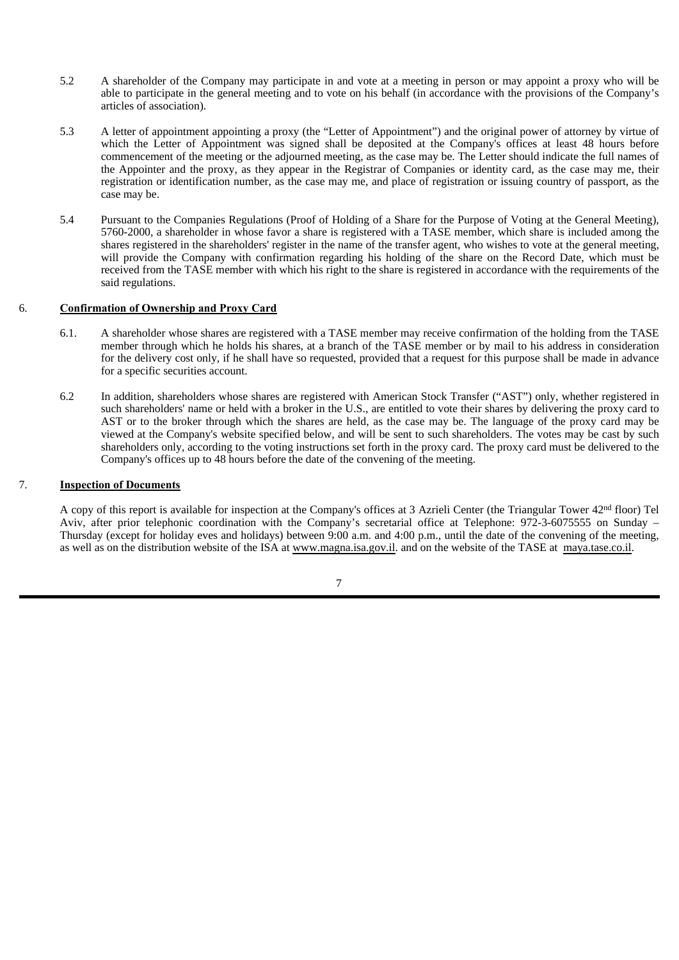- 5.2 A shareholder of the Company may participate in and vote at a meeting in person or may appoint a proxy who will be able to participate in the general meeting and to vote on his behalf (in accordance with the provisions of the Company's articles of association).
- 5.3 A letter of appointment appointing a proxy (the "Letter of Appointment") and the original power of attorney by virtue of which the Letter of Appointment was signed shall be deposited at the Company's offices at least 48 hours before commencement of the meeting or the adjourned meeting, as the case may be. The Letter should indicate the full names of the Appointer and the proxy, as they appear in the Registrar of Companies or identity card, as the case may me, their registration or identification number, as the case may me, and place of registration or issuing country of passport, as the case may be.
- 5.4 Pursuant to the Companies Regulations (Proof of Holding of a Share for the Purpose of Voting at the General Meeting), 5760-2000, a shareholder in whose favor a share is registered with a TASE member, which share is included among the shares registered in the shareholders' register in the name of the transfer agent, who wishes to vote at the general meeting, will provide the Company with confirmation regarding his holding of the share on the Record Date, which must be received from the TASE member with which his right to the share is registered in accordance with the requirements of the said regulations.

#### 6. **Confirmation of Ownership and Proxy Card**

- 6.1. A shareholder whose shares are registered with a TASE member may receive confirmation of the holding from the TASE member through which he holds his shares, at a branch of the TASE member or by mail to his address in consideration for the delivery cost only, if he shall have so requested, provided that a request for this purpose shall be made in advance for a specific securities account.
- 6.2 In addition, shareholders whose shares are registered with American Stock Transfer ("AST") only, whether registered in such shareholders' name or held with a broker in the U.S., are entitled to vote their shares by delivering the proxy card to AST or to the broker through which the shares are held, as the case may be. The language of the proxy card may be viewed at the Company's website specified below, and will be sent to such shareholders. The votes may be cast by such shareholders only, according to the voting instructions set forth in the proxy card. The proxy card must be delivered to the Company's offices up to 48 hours before the date of the convening of the meeting.

### 7. **Inspection of Documents**

A copy of this report is available for inspection at the Company's offices at 3 Azrieli Center (the Triangular Tower 42nd floor) Tel Aviv, after prior telephonic coordination with the Company's secretarial office at Telephone: 972-3-6075555 on Sunday – Thursday (except for holiday eves and holidays) between 9:00 a.m. and 4:00 p.m., until the date of the convening of the meeting, as well as on the distribution website of the ISA at www.magna.isa.gov.il. and on the website of the TASE at maya.tase.co.il.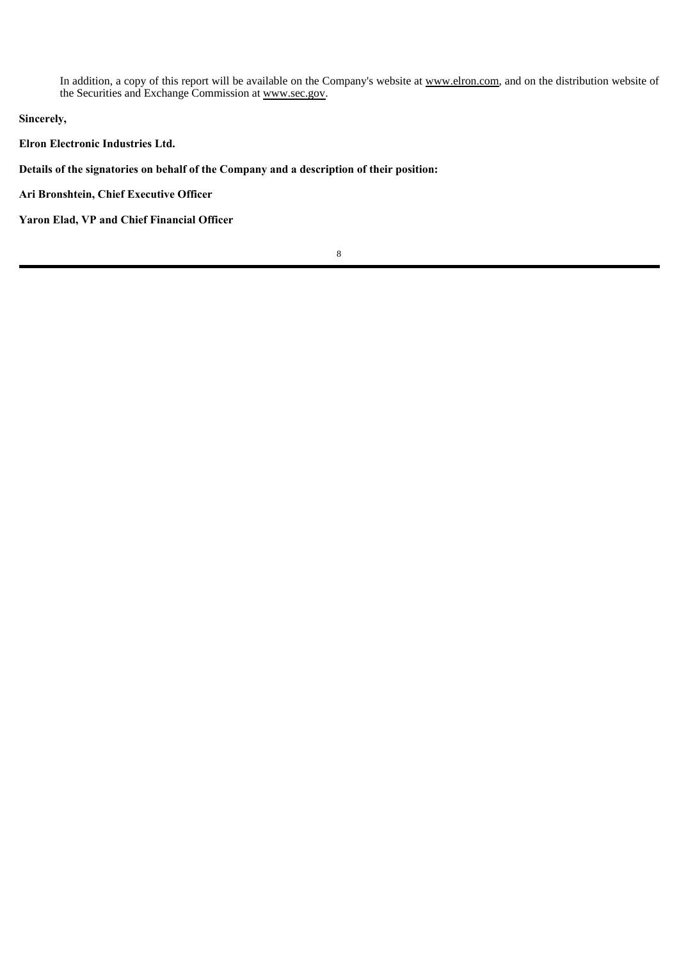In addition, a copy of this report will be available on the Company's website at www.elron.com, and on the distribution website of the Securities and Exchange Commission at www.sec.gov.

**Sincerely,**

**Elron Electronic Industries Ltd.**

**Details of the signatories on behalf of the Company and a description of their position:**

**Ari Bronshtein, Chief Executive Officer**

**Yaron Elad, VP and Chief Financial Officer**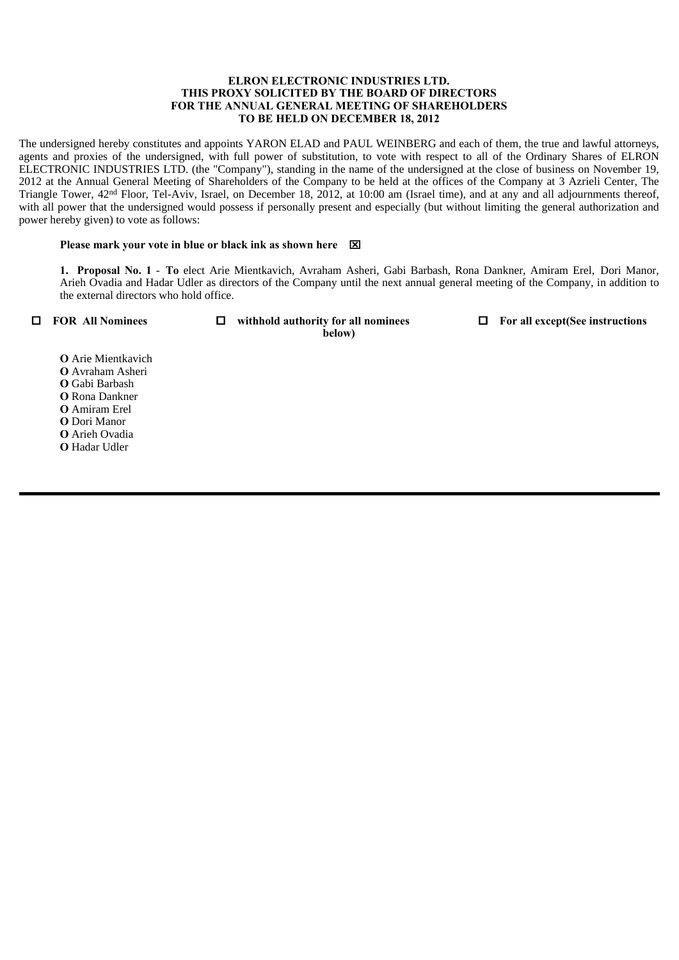#### **ELRON ELECTRONIC INDUSTRIES LTD. THIS PROXY SOLICITED BY THE BOARD OF DIRECTORS FOR THE ANNUAL GENERAL MEETING OF SHAREHOLDERS TO BE HELD ON DECEMBER 18, 2012**

The undersigned hereby constitutes and appoints YARON ELAD and PAUL WEINBERG and each of them, the true and lawful attorneys, agents and proxies of the undersigned, with full power of substitution, to vote with respect to all of the Ordinary Shares of ELRON ELECTRONIC INDUSTRIES LTD. (the "Company"), standing in the name of the undersigned at the close of business on November 19, 2012 at the Annual General Meeting of Shareholders of the Company to be held at the offices of the Company at 3 Azrieli Center, The Triangle Tower, 42nd Floor, Tel-Aviv, Israel, on December 18, 2012, at 10:00 am (Israel time), and at any and all adjournments thereof, with all power that the undersigned would possess if personally present and especially (but without limiting the general authorization and power hereby given) to vote as follows:

#### **Please mark your vote in blue or black ink as shown here**

 **1. Proposal No. 1** - **To** elect Arie Mientkavich, Avraham Asheri, Gabi Barbash, Rona Dankner, Amiram Erel, Dori Manor, Arieh Ovadia and Hadar Udler as directors of the Company until the next annual general meeting of the Company, in addition to the external directors who hold office.

**FOR All Nominees withhold authority for all nominees For all except(See instructions below)**

**О** Arie Mientkavich **О** Avraham Asheri **О** Gabi Barbash **О** Rona Dankner **О** Amiram Erel **О** Dori Manor **О** Arieh Ovadia **О** Hadar Udler